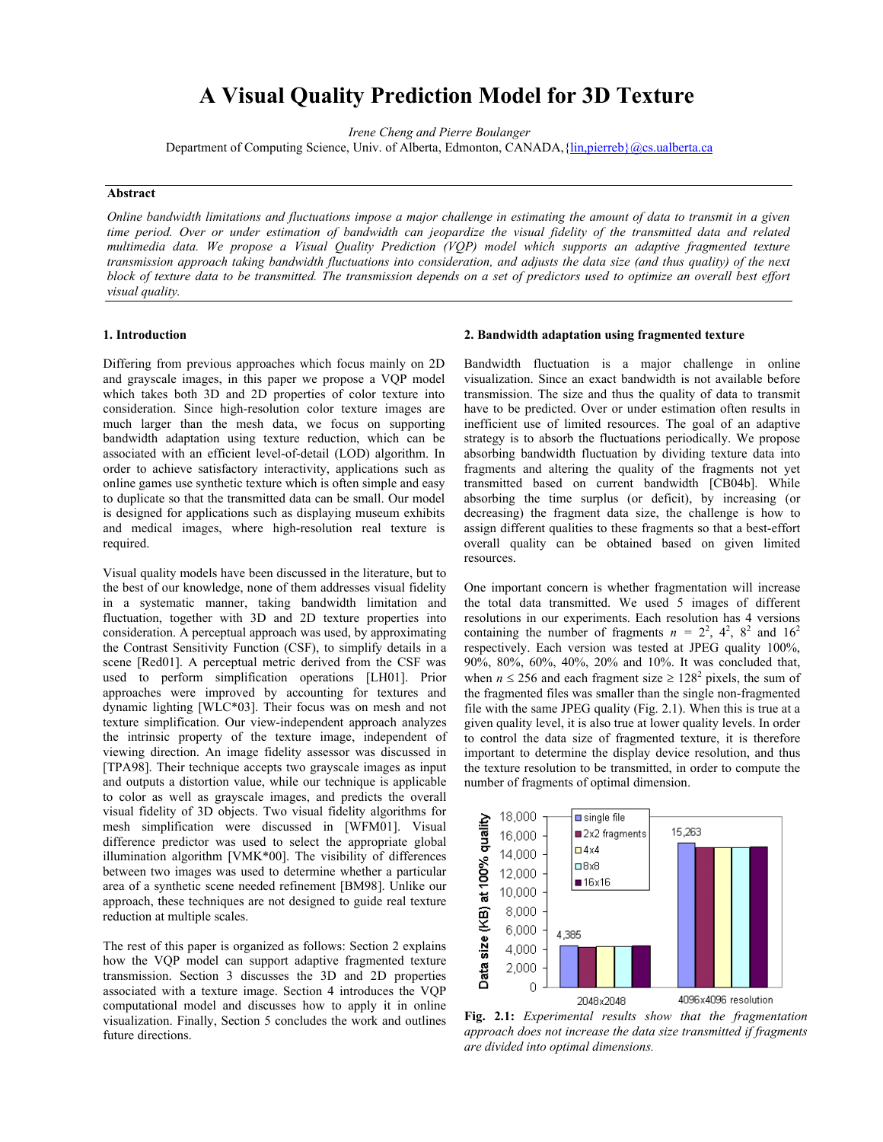# **A Visual Quality Prediction Model for 3D Texture**

*Irene Cheng and Pierre Boulanger*

Department of Computing Science, Univ. of Alberta, Edmonton, CANADA, {[lin,pierreb}@cs.ualberta.ca](mailto:Lin@cs.ualberta.ca)

#### **Abstract**

*Online bandwidth limitations and fluctuations impose a major challenge in estimating the amount of data to transmit in a given time period. Over or under estimation of bandwidth can jeopardize the visual fidelity of the transmitted data and related multimedia data. We propose a Visual Quality Prediction (VQP) model which supports an adaptive fragmented texture transmission approach taking bandwidth fluctuations into consideration, and adjusts the data size (and thus quality) of the next block of texture data to be transmitted. The transmission depends on a set of predictors used to optimize an overall best effort visual quality.* 

## **1. Introduction**

Differing from previous approaches which focus mainly on 2D and grayscale images, in this paper we propose a VQP model which takes both 3D and 2D properties of color texture into consideration. Since high-resolution color texture images are much larger than the mesh data, we focus on supporting bandwidth adaptation using texture reduction, which can be associated with an efficient level-of-detail (LOD) algorithm. In order to achieve satisfactory interactivity, applications such as online games use synthetic texture which is often simple and easy to duplicate so that the transmitted data can be small. Our model is designed for applications such as displaying museum exhibits and medical images, where high-resolution real texture is required.

Visual quality models have been discussed in the literature, but to the best of our knowledge, none of them addresses visual fidelity in a systematic manner, taking bandwidth limitation and fluctuation, together with 3D and 2D texture properties into consideration. A perceptual approach was used, by approximating the Contrast Sensitivity Function (CSF), to simplify details in a scene [Red01]. A perceptual metric derived from the CSF was used to perform simplification operations [LH01]. Prior approaches were improved by accounting for textures and dynamic lighting [WLC\*03]. Their focus was on mesh and not texture simplification. Our view-independent approach analyzes the intrinsic property of the texture image, independent of viewing direction. An image fidelity assessor was discussed in [TPA98]. Their technique accepts two grayscale images as input and outputs a distortion value, while our technique is applicable to color as well as grayscale images, and predicts the overall visual fidelity of 3D objects. Two visual fidelity algorithms for mesh simplification were discussed in [WFM01]. Visual difference predictor was used to select the appropriate global illumination algorithm [VMK\*00]. The visibility of differences between two images was used to determine whether a particular area of a synthetic scene needed refinement [BM98]. Unlike our approach, these techniques are not designed to guide real texture reduction at multiple scales.

The rest of this paper is organized as follows: Section 2 explains how the VQP model can support adaptive fragmented texture transmission. Section 3 discusses the 3D and 2D properties associated with a texture image. Section 4 introduces the VQP computational model and discusses how to apply it in online visualization. Finally, Section 5 concludes the work and outlines future directions.

#### **2. Bandwidth adaptation using fragmented texture**

Bandwidth fluctuation is a major challenge in online visualization. Since an exact bandwidth is not available before transmission. The size and thus the quality of data to transmit have to be predicted. Over or under estimation often results in inefficient use of limited resources. The goal of an adaptive strategy is to absorb the fluctuations periodically. We propose absorbing bandwidth fluctuation by dividing texture data into fragments and altering the quality of the fragments not yet transmitted based on current bandwidth [CB04b]. While absorbing the time surplus (or deficit), by increasing (or decreasing) the fragment data size, the challenge is how to assign different qualities to these fragments so that a best-effort overall quality can be obtained based on given limited resources.

One important concern is whether fragmentation will increase the total data transmitted. We used 5 images of different resolutions in our experiments. Each resolution has 4 versions containing the number of fragments  $n = 2^2$ ,  $4^2$ ,  $8^2$  and  $16^2$ respectively. Each version was tested at JPEG quality 100%, 90%, 80%, 60%, 40%, 20% and 10%. It was concluded that, when  $n \le 256$  and each fragment size  $\ge 128^2$  pixels, the sum of the fragmented files was smaller than the single non-fragmented file with the same JPEG quality (Fig. 2.1). When this is true at a given quality level, it is also true at lower quality levels. In order to control the data size of fragmented texture, it is therefore important to determine the display device resolution, and thus the texture resolution to be transmitted, in order to compute the number of fragments of optimal dimension.



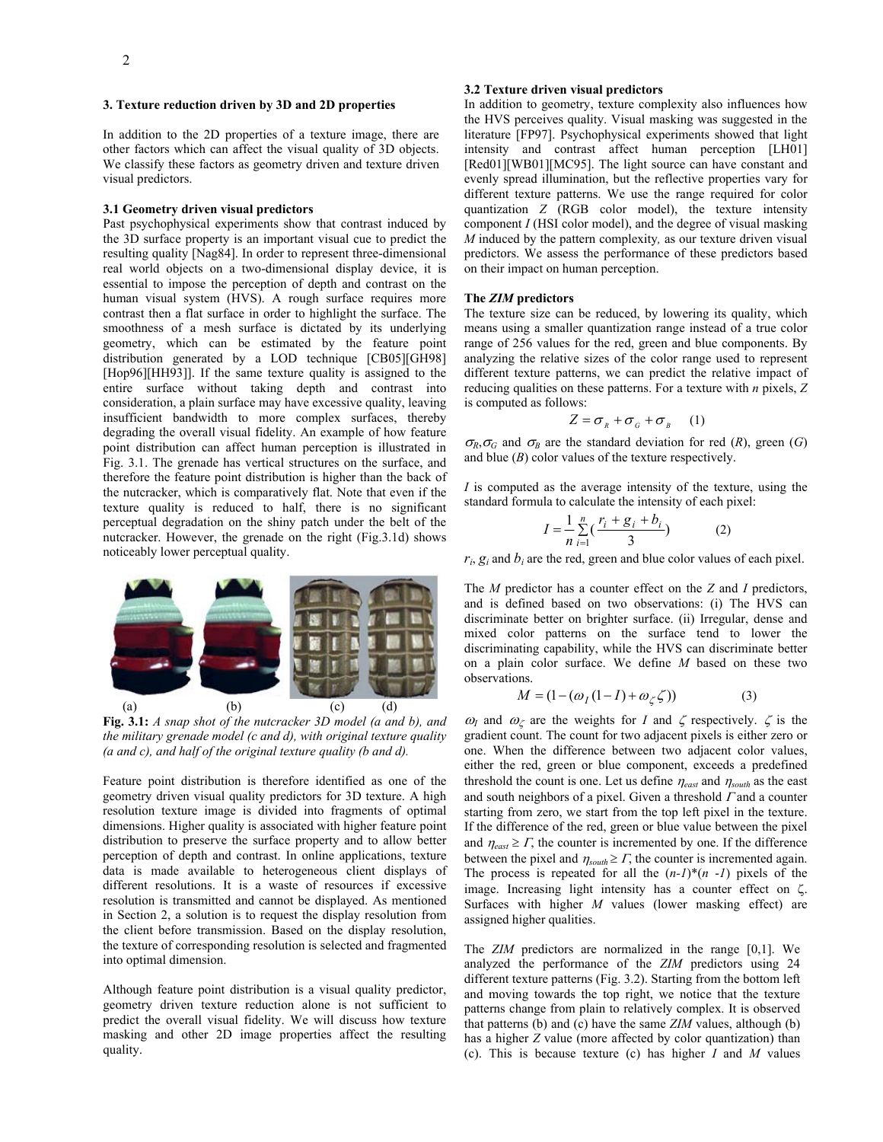#### **3. Texture reduction driven by 3D and 2D properties**

In addition to the 2D properties of a texture image, there are other factors which can affect the visual quality of 3D objects. We classify these factors as geometry driven and texture driven visual predictors.

#### **3.1 Geometry driven visual predictors**

Past psychophysical experiments show that contrast induced by the 3D surface property is an important visual cue to predict the resulting quality [Nag84]. In order to represent three-dimensional real world objects on a two-dimensional display device, it is essential to impose the perception of depth and contrast on the human visual system (HVS). A rough surface requires more contrast then a flat surface in order to highlight the surface. The smoothness of a mesh surface is dictated by its underlying geometry, which can be estimated by the feature point distribution generated by a LOD technique [CB05][GH98] [Hop96][HH93]]. If the same texture quality is assigned to the entire surface without taking depth and contrast into consideration, a plain surface may have excessive quality, leaving insufficient bandwidth to more complex surfaces, thereby degrading the overall visual fidelity. An example of how feature point distribution can affect human perception is illustrated in Fig. 3.1. The grenade has vertical structures on the surface, and therefore the feature point distribution is higher than the back of the nutcracker, which is comparatively flat. Note that even if the texture quality is reduced to half, there is no significant perceptual degradation on the shiny patch under the belt of the nutcracker. However, the grenade on the right (Fig.3.1d) shows noticeably lower perceptual quality.



**Fig. 3.1:** *A snap shot of the nutcracker 3D model (a and b), and the military grenade model (c and d), with original texture quality (a and c), and half of the original texture quality (b and d).* 

Feature point distribution is therefore identified as one of the geometry driven visual quality predictors for 3D texture. A high resolution texture image is divided into fragments of optimal dimensions. Higher quality is associated with higher feature point distribution to preserve the surface property and to allow better perception of depth and contrast. In online applications, texture data is made available to heterogeneous client displays of different resolutions. It is a waste of resources if excessive resolution is transmitted and cannot be displayed. As mentioned in Section 2, a solution is to request the display resolution from the client before transmission. Based on the display resolution, the texture of corresponding resolution is selected and fragmented into optimal dimension.

Although feature point distribution is a visual quality predictor, geometry driven texture reduction alone is not sufficient to predict the overall visual fidelity. We will discuss how texture masking and other 2D image properties affect the resulting quality.

# **3.2 Texture driven visual predictors**

In addition to geometry, texture complexity also influences how the HVS perceives quality. Visual masking was suggested in the literature [FP97]. Psychophysical experiments showed that light intensity and contrast affect human perception [LH01] [Red01][WB01][MC95]. The light source can have constant and evenly spread illumination, but the reflective properties vary for different texture patterns. We use the range required for color quantization *Z* (RGB color model), the texture intensity component *I* (HSI color model), and the degree of visual masking *M* induced by the pattern complexity*,* as our texture driven visual predictors. We assess the performance of these predictors based on their impact on human perception.

## **The** *ZIM* **predictors**

The texture size can be reduced, by lowering its quality, which means using a smaller quantization range instead of a true color range of 256 values for the red, green and blue components. By analyzing the relative sizes of the color range used to represent different texture patterns, we can predict the relative impact of reducing qualities on these patterns. For a texture with *n* pixels, *Z* is computed as follows:

$$
Z = \sigma_{R} + \sigma_{G} + \sigma_{B} \qquad (1)
$$

 $\sigma_R$ , $\sigma_G$  and  $\sigma_B$  are the standard deviation for red (*R*), green (*G*) and blue (*B*) color values of the texture respectively.

*I* is computed as the average intensity of the texture, using the standard formula to calculate the intensity of each pixel:

$$
I = \frac{1}{n} \sum_{i=1}^{n} \left( \frac{r_i + g_i + b_i}{3} \right)
$$
 (2)

 $r_i$ ,  $g_i$  and  $b_i$  are the red, green and blue color values of each pixel.

The *M* predictor has a counter effect on the *Z* and *I* predictors, and is defined based on two observations: (i) The HVS can discriminate better on brighter surface. (ii) Irregular, dense and mixed color patterns on the surface tend to lower the discriminating capability, while the HVS can discriminate better on a plain color surface. We define *M* based on these two observations.

$$
M = (1 - (\omega_I (1 - I) + \omega_{\zeta} \zeta))
$$
 (3)

 $\omega_I$  and  $\omega_\zeta$  are the weights for *I* and  $\zeta$  respectively.  $\zeta$  is the gradient count. The count for two adjacent pixels is either zero or one. When the difference between two adjacent color values, either the red, green or blue component, exceeds a predefined threshold the count is one. Let us define <sup>η</sup>*east* and <sup>η</sup>*south* as the east and south neighbors of a pixel. Given a threshold  $\Gamma$  and a counter starting from zero, we start from the top left pixel in the texture. If the difference of the red, green or blue value between the pixel and  $\eta_{\text{east}} \geq \Gamma$ , the counter is incremented by one. If the difference between the pixel and  $\eta_{\text{south}} \geq \Gamma$ , the counter is incremented again. The process is repeated for all the  $(n-1)$ <sup>\*</sup> $(n-1)$  pixels of the image. Increasing light intensity has a counter effect on ζ. Surfaces with higher *M* values (lower masking effect) are assigned higher qualities.

The *ZIM* predictors are normalized in the range [0,1]. We analyzed the performance of the *ZIM* predictors using 24 different texture patterns (Fig. 3.2). Starting from the bottom left and moving towards the top right, we notice that the texture patterns change from plain to relatively complex. It is observed that patterns (b) and (c) have the same *ZIM* values, although (b) has a higher *Z* value (more affected by color quantization) than (c). This is because texture (c) has higher *I* and *M* values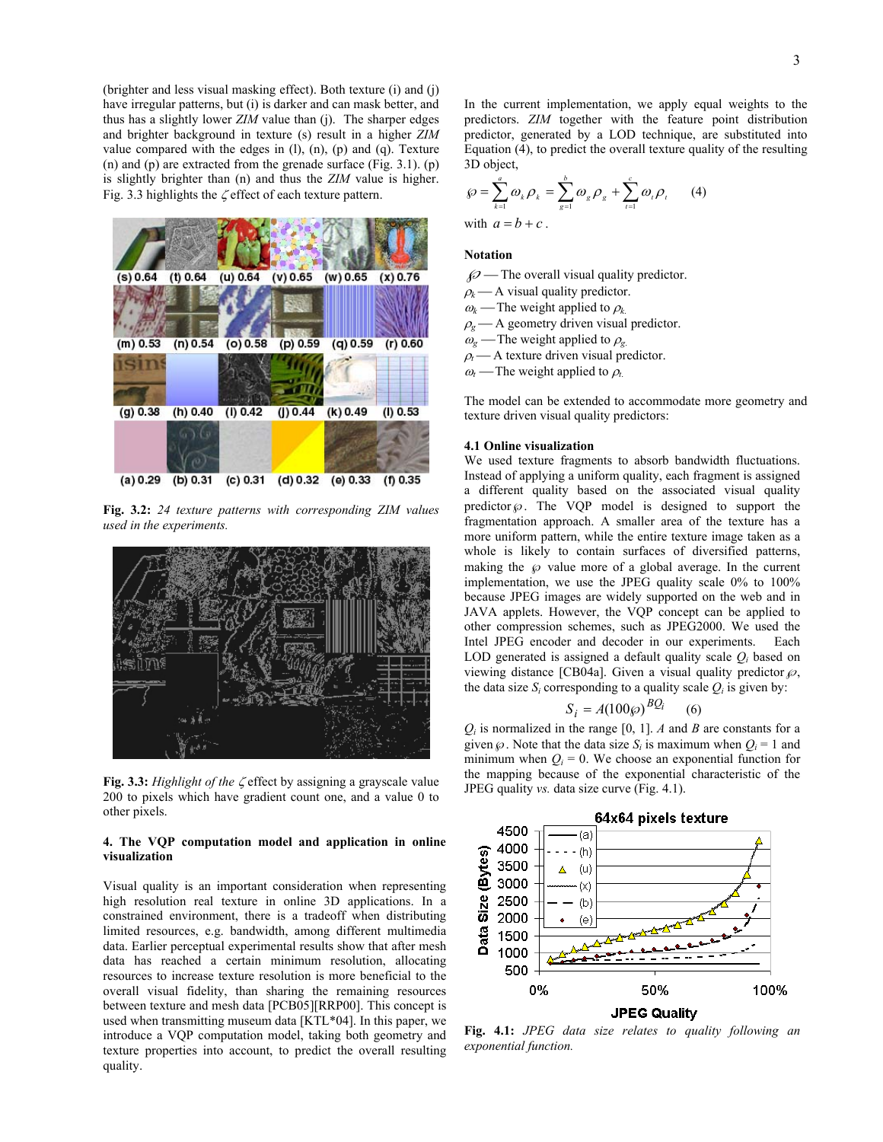(brighter and less visual masking effect). Both texture (i) and (j) have irregular patterns, but (i) is darker and can mask better, and thus has a slightly lower *ZIM* value than (j). The sharper edges and brighter background in texture (s) result in a higher *ZIM* value compared with the edges in  $(l)$ ,  $(n)$ ,  $(p)$  and  $(q)$ . Texture (n) and (p) are extracted from the grenade surface (Fig. 3.1). (p) is slightly brighter than (n) and thus the *ZIM* value is higher. Fig. 3.3 highlights the  $\zeta$  effect of each texture pattern.



**Fig. 3.2:** *24 texture patterns with corresponding ZIM values used in the experiments.* 



Fig. 3.3: Highlight of the ζ effect by assigning a grayscale value FIEG quality *vs.* data size curve (Fig. 4.1). 200 to pixels which have gradient count one, and a value 0 to other pixels.

# **4. The VQP computation model and application in online visualization**

Visual quality is an important consideration when representing high resolution real texture in online 3D applications. In a constrained environment, there is a tradeoff when distributing limited resources, e.g. bandwidth, among different multimedia data. Earlier perceptual experimental results show that after mesh data has reached a certain minimum resolution, allocating resources to increase texture resolution is more beneficial to the overall visual fidelity, than sharing the remaining resources between texture and mesh data [PCB05][RRP00]. This concept is used when transmitting museum data [KTL\*04]. In this paper, we introduce a VQP computation model, taking both geometry and texture properties into account, to predict the overall resulting quality.

In the current implementation, we apply equal weights to the predictors. *ZIM* together with the feature point distribution predictor, generated by a LOD technique, are substituted into Equation (4), to predict the overall texture quality of the resulting 3D object,

$$
\wp = \sum_{k=1}^{a} \omega_k \rho_k = \sum_{g=1}^{b} \omega_g \rho_g + \sum_{t=1}^{c} \omega_t \rho_t \qquad (4)
$$

with  $a = b + c$ .

# **Notation**

- $\mathscr{D}$  The overall visual quality predictor.
- $\rho_k$  A visual quality predictor.
- $\omega_k$  The weight applied to  $\rho_k$ .
- $\rho$ <sub>g</sub>  $\rightarrow$  A geometry driven visual predictor.
- $\omega_{\rm g}$  The weight applied to  $\rho_{\rm g}$ .
- $\rho_t$  A texture driven visual predictor.
- $\omega_t$ —The weight applied to  $\rho_t$ .

The model can be extended to accommodate more geometry and texture driven visual quality predictors:

# **4.1 Online visualization**

We used texture fragments to absorb bandwidth fluctuations. Instead of applying a uniform quality, each fragment is assigned a different quality based on the associated visual quality predictor  $\wp$ . The VQP model is designed to support the fragmentation approach. A smaller area of the texture has a more uniform pattern, while the entire texture image taken as a whole is likely to contain surfaces of diversified patterns, making the  $\wp$  value more of a global average. In the current implementation, we use the JPEG quality scale 0% to 100% because JPEG images are widely supported on the web and in JAVA applets. However, the VQP concept can be applied to other compression schemes, such as JPEG2000. We used the Intel JPEG encoder and decoder in our experiments. Each LOD generated is assigned a default quality scale  $Q_i$  based on viewing distance [CB04a]. Given a visual quality predictor  $\wp$ , the data size  $S_i$  corresponding to a quality scale  $Q_i$  is given by:

$$
S_i = A(100\wp)^{BQ_i} \qquad (6)
$$

 $Q_i$  is normalized in the range [0, 1]. *A* and *B* are constants for a given  $\wp$ . Note that the data size  $S_i$  is maximum when  $Q_i = 1$  and minimum when  $Q_i = 0$ . We choose an exponential function for the mapping because of the exponential characteristic of the



**Fig. 4.1:** *JPEG data size relates to quality following an exponential function.*